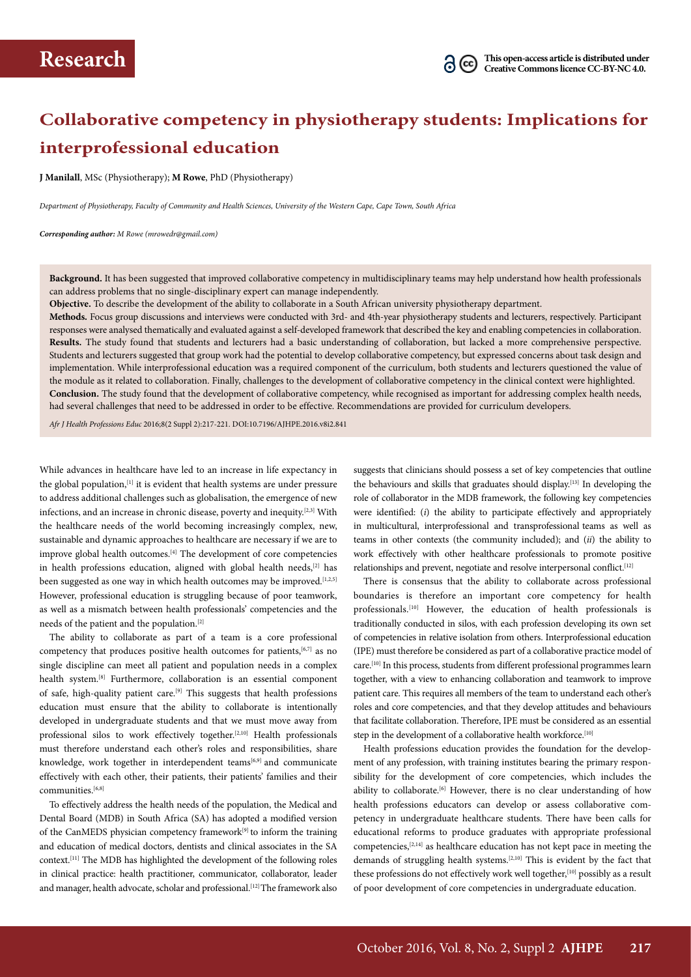# **Collaborative competency in physiotherapy students: Implications for interprofessional education**

**J Manilall**, MSc (Physiotherapy); **M Rowe**, PhD (Physiotherapy)

*Department of Physiotherapy, Faculty of Community and Health Sciences, University of the Western Cape, Cape Town, South Africa*

*Corresponding author: M Rowe (mrowedr@gmail.com)*

**Background.** It has been suggested that improved collaborative competency in multidisciplinary teams may help understand how health professionals can address problems that no single-disciplinary expert can manage independently.

**Objective.** To describe the development of the ability to collaborate in a South African university physiotherapy department.

**Methods.** Focus group discussions and interviews were conducted with 3rd- and 4th-year physiotherapy students and lecturers, respectively. Participant responses were analysed thematically and evaluated against a self-developed framework that described the key and enabling competencies in collaboration. **Results.** The study found that students and lecturers had a basic understanding of collaboration, but lacked a more comprehensive perspective. Students and lecturers suggested that group work had the potential to develop collaborative competency, but expressed concerns about task design and implementation. While interprofessional education was a required component of the curriculum, both students and lecturers questioned the value of the module as it related to collaboration. Finally, challenges to the development of collaborative competency in the clinical context were highlighted. **Conclusion.** The study found that the development of collaborative competency, while recognised as important for addressing complex health needs, had several challenges that need to be addressed in order to be effective. Recommendations are provided for curriculum developers.

*Afr J Health Professions Educ* 2016;8(2 Suppl 2):217-221. DOI:10.7196/AJHPE.2016.v8i2.841

While advances in healthcare have led to an increase in life expectancy in the global population,<sup>[1]</sup> it is evident that health systems are under pressure to address additional challenges such as globalisation, the emergence of new infections, and an increase in chronic disease, poverty and inequity.[2,3] With the healthcare needs of the world becoming increasingly complex, new, sustainable and dynamic approaches to healthcare are necessary if we are to improve global health outcomes.[4] The development of core competencies in health professions education, aligned with global health needs,<sup>[2]</sup> has been suggested as one way in which health outcomes may be improved.<sup>[1,2,5]</sup> However, professional education is struggling because of poor teamwork, as well as a mismatch between health professionals' competencies and the needs of the patient and the population.[2]

The ability to collaborate as part of a team is a core professional competency that produces positive health outcomes for patients,<sup>[6,7]</sup> as no single discipline can meet all patient and population needs in a complex health system.[8] Furthermore, collaboration is an essential component of safe, high-quality patient care.[9] This suggests that health professions education must ensure that the ability to collaborate is intentionally developed in undergraduate students and that we must move away from professional silos to work effectively together.[2,10] Health professionals must therefore understand each other's roles and responsibilities, share knowledge, work together in interdependent teams<sup>[6,9]</sup> and communicate effectively with each other, their patients, their patients' families and their communities.<sup>[6,8]</sup>

To effectively address the health needs of the population, the Medical and Dental Board (MDB) in South Africa (SA) has adopted a modified version of the CanMEDS physician competency framework<sup>[9]</sup> to inform the training and education of medical doctors, dentists and clinical associates in the SA context.[11] The MDB has highlighted the development of the following roles in clinical practice: health practitioner, communicator, collaborator, leader and manager, health advocate, scholar and professional.<sup>[12]</sup> The framework also

suggests that clinicians should possess a set of key competencies that outline the behaviours and skills that graduates should display.[13] In developing the role of collaborator in the MDB framework, the following key competencies were identified: (*i*) the ability to participate effectively and appropriately in multicultural, interprofessional and transprofessional teams as well as teams in other contexts (the community included); and (*ii*) the ability to work effectively with other healthcare professionals to promote positive relationships and prevent, negotiate and resolve interpersonal conflict.<sup>[12]</sup>

There is consensus that the ability to collaborate across professional boundaries is therefore an important core competency for health professionals.<sup>[10]</sup> However, the education of health professionals is traditionally conducted in silos, with each profession developing its own set of competencies in relative isolation from others. Interprofessional education (IPE) must therefore be considered as part of a collaborative practice model of care.[10] In this process, students from different professional programmes learn together, with a view to enhancing collaboration and teamwork to improve patient care. This requires all members of the team to understand each other's roles and core competencies, and that they develop attitudes and behaviours that facilitate collaboration. Therefore, IPE must be considered as an essential step in the development of a collaborative health workforce.<sup>[10]</sup>

Health professions education provides the foundation for the development of any profession, with training institutes bearing the primary responsibility for the development of core competencies, which includes the ability to collaborate.<sup>[6]</sup> However, there is no clear understanding of how health professions educators can develop or assess collaborative competency in undergraduate healthcare students. There have been calls for educational reforms to produce graduates with appropriate professional competencies,[2,14] as healthcare education has not kept pace in meeting the demands of struggling health systems.[2,10] This is evident by the fact that these professions do not effectively work well together,<sup>[10]</sup> possibly as a result of poor development of core competencies in undergraduate education.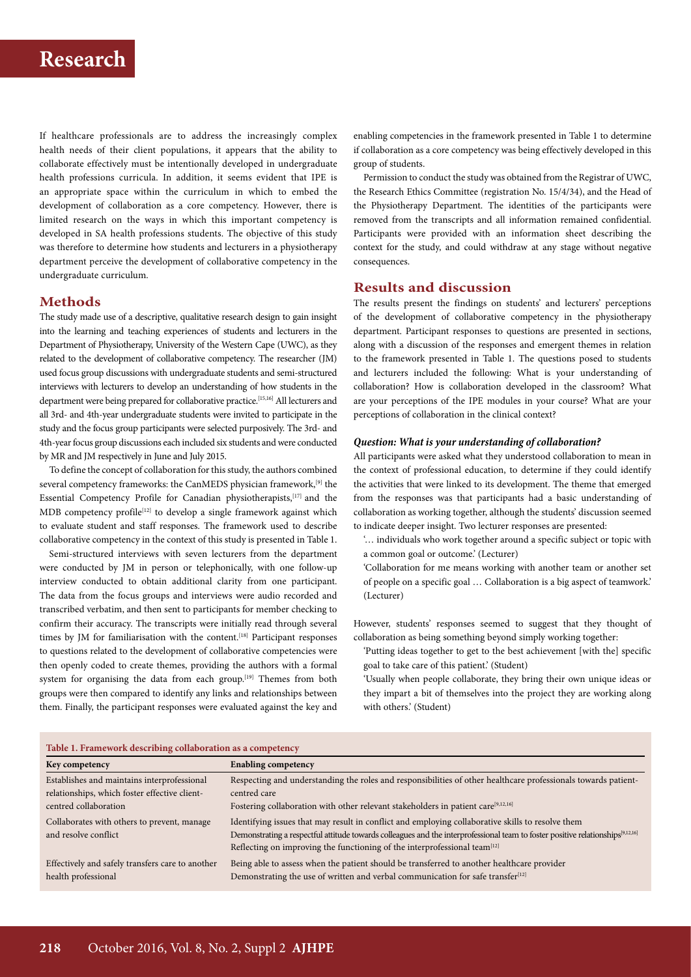If healthcare professionals are to address the increasingly complex health needs of their client populations, it appears that the ability to collaborate effectively must be intentionally developed in undergraduate health professions curricula. In addition, it seems evident that IPE is an appropriate space within the curriculum in which to embed the development of collaboration as a core competency. However, there is limited research on the ways in which this important competency is developed in SA health professions students. The objective of this study was therefore to determine how students and lecturers in a physiotherapy department perceive the development of collaborative competency in the undergraduate curriculum.

### **Methods**

The study made use of a descriptive, qualitative research design to gain insight into the learning and teaching experiences of students and lecturers in the Department of Physiotherapy, University of the Western Cape (UWC), as they related to the development of collaborative competency. The researcher (JM) used focus group discussions with undergraduate students and semi-structured interviews with lecturers to develop an understanding of how students in the department were being prepared for collaborative practice.[15,16] All lecturers and all 3rd- and 4th-year undergraduate students were invited to participate in the study and the focus group participants were selected purposively. The 3rd- and 4th-year focus group discussions each included six students and were conducted by MR and JM respectively in June and July 2015.

To define the concept of collaboration for this study, the authors combined several competency frameworks: the CanMEDS physician framework,<sup>[9]</sup> the Essential Competency Profile for Canadian physiotherapists,[17] and the MDB competency profile<sup>[12]</sup> to develop a single framework against which to evaluate student and staff responses. The framework used to describe collaborative competency in the context of this study is presented in Table 1.

Semi-structured interviews with seven lecturers from the department were conducted by JM in person or telephonically, with one follow-up interview conducted to obtain additional clarity from one participant. The data from the focus groups and interviews were audio recorded and transcribed verbatim, and then sent to participants for member checking to confirm their accuracy. The transcripts were initially read through several times by JM for familiarisation with the content.<sup>[18]</sup> Participant responses to questions related to the development of collaborative competencies were then openly coded to create themes, providing the authors with a formal system for organising the data from each group.<sup>[19]</sup> Themes from both groups were then compared to identify any links and relationships between them. Finally, the participant responses were evaluated against the key and enabling competencies in the framework presented in Table 1 to determine if collaboration as a core competency was being effectively developed in this group of students.

Permission to conduct the study was obtained from the Registrar of UWC, the Research Ethics Committee (registration No. 15/4/34), and the Head of the Physiotherapy Department. The identities of the participants were removed from the transcripts and all information remained confidential. Participants were provided with an information sheet describing the context for the study, and could withdraw at any stage without negative consequences.

### **Results and discussion**

The results present the findings on students' and lecturers' perceptions of the development of collaborative competency in the physiotherapy department. Participant responses to questions are presented in sections, along with a discussion of the responses and emergent themes in relation to the framework presented in Table 1. The questions posed to students and lecturers included the following: What is your understanding of collaboration? How is collaboration developed in the classroom? What are your perceptions of the IPE modules in your course? What are your perceptions of collaboration in the clinical context?

#### *Question: What is your understanding of collaboration?*

All participants were asked what they understood collaboration to mean in the context of professional education, to determine if they could identify the activities that were linked to its development. The theme that emerged from the responses was that participants had a basic understanding of collaboration as working together, although the students' discussion seemed to indicate deeper insight. Two lecturer responses are presented:

'… individuals who work together around a specific subject or topic with a common goal or outcome.' (Lecturer)

'Collaboration for me means working with another team or another set of people on a specific goal … Collaboration is a big aspect of teamwork.' (Lecturer)

However, students' responses seemed to suggest that they thought of collaboration as being something beyond simply working together:

- 'Putting ideas together to get to the best achievement [with the] specific goal to take care of this patient.' (Student)
- 'Usually when people collaborate, they bring their own unique ideas or they impart a bit of themselves into the project they are working along with others.' (Student)

| Table 1. Framework describing collaboration as a competency                                                           |                                                                                                                                                                                                                                                                                                                                  |
|-----------------------------------------------------------------------------------------------------------------------|----------------------------------------------------------------------------------------------------------------------------------------------------------------------------------------------------------------------------------------------------------------------------------------------------------------------------------|
| Key competency                                                                                                        | <b>Enabling competency</b>                                                                                                                                                                                                                                                                                                       |
| Establishes and maintains interprofessional<br>relationships, which foster effective client-<br>centred collaboration | Respecting and understanding the roles and responsibilities of other healthcare professionals towards patient-<br>centred care<br>Fostering collaboration with other relevant stakeholders in patient care <sup>[9,12,16]</sup>                                                                                                  |
| Collaborates with others to prevent, manage<br>and resolve conflict                                                   | Identifying issues that may result in conflict and employing collaborative skills to resolve them<br>Demonstrating a respectful attitude towards colleagues and the interprofessional team to foster positive relationships <sup>[9,12,16]</sup><br>Reflecting on improving the functioning of the interprofessional team $[12]$ |
| Effectively and safely transfers care to another<br>health professional                                               | Being able to assess when the patient should be transferred to another healthcare provider<br>Demonstrating the use of written and verbal communication for safe transfer <sup>[12]</sup>                                                                                                                                        |

#### **Table 1. Framework describing collaboration as a competency**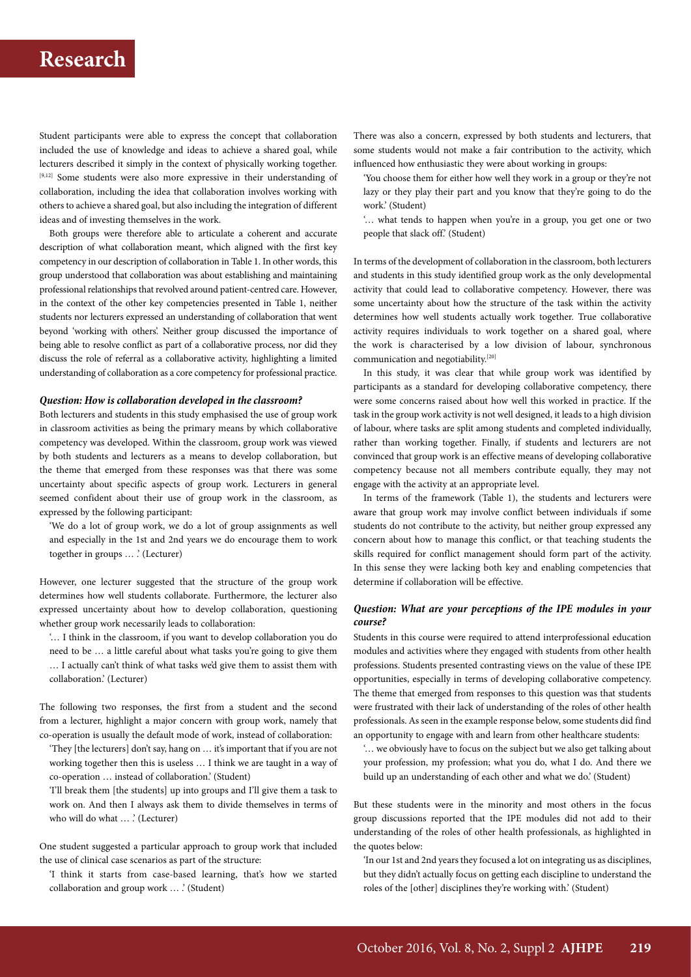Student participants were able to express the concept that collaboration included the use of knowledge and ideas to achieve a shared goal, while lecturers described it simply in the context of physically working together. [9,12] Some students were also more expressive in their understanding of collaboration, including the idea that collaboration involves working with others to achieve a shared goal, but also including the integration of different ideas and of investing themselves in the work.

Both groups were therefore able to articulate a coherent and accurate description of what collaboration meant, which aligned with the first key competency in our description of collaboration in Table 1. In other words, this group understood that collaboration was about establishing and maintaining professional relationships that revolved around patient-centred care. However, in the context of the other key competencies presented in Table 1, neither students nor lecturers expressed an understanding of collaboration that went beyond 'working with others'. Neither group discussed the importance of being able to resolve conflict as part of a collaborative process, nor did they discuss the role of referral as a collaborative activity, highlighting a limited understanding of collaboration as a core competency for professional practice.

#### *Question: How is collaboration developed in the classroom?*

Both lecturers and students in this study emphasised the use of group work in classroom activities as being the primary means by which collaborative competency was developed. Within the classroom, group work was viewed by both students and lecturers as a means to develop collaboration, but the theme that emerged from these responses was that there was some uncertainty about specific aspects of group work. Lecturers in general seemed confident about their use of group work in the classroom, as expressed by the following participant:

'We do a lot of group work, we do a lot of group assignments as well and especially in the 1st and 2nd years we do encourage them to work together in groups … .' (Lecturer)

However, one lecturer suggested that the structure of the group work determines how well students collaborate. Furthermore, the lecturer also expressed uncertainty about how to develop collaboration, questioning whether group work necessarily leads to collaboration:

'… I think in the classroom, if you want to develop collaboration you do need to be … a little careful about what tasks you're going to give them … I actually can't think of what tasks we'd give them to assist them with collaboration.' (Lecturer)

The following two responses, the first from a student and the second from a lecturer, highlight a major concern with group work, namely that co-operation is usually the default mode of work, instead of collaboration:

'They [the lecturers] don't say, hang on … it's important that if you are not working together then this is useless … I think we are taught in a way of co-operation … instead of collaboration.' (Student)

'I'll break them [the students] up into groups and I'll give them a task to work on. And then I always ask them to divide themselves in terms of who will do what ... .' (Lecturer)

One student suggested a particular approach to group work that included the use of clinical case scenarios as part of the structure:

'I think it starts from case-based learning, that's how we started collaboration and group work … .' (Student)

There was also a concern, expressed by both students and lecturers, that some students would not make a fair contribution to the activity, which influenced how enthusiastic they were about working in groups:

'You choose them for either how well they work in a group or they're not lazy or they play their part and you know that they're going to do the work.' (Student)

'… what tends to happen when you're in a group, you get one or two people that slack off.' (Student)

In terms of the development of collaboration in the classroom, both lecturers and students in this study identified group work as the only developmental activity that could lead to collaborative competency. However, there was some uncertainty about how the structure of the task within the activity determines how well students actually work together. True collaborative activity requires individuals to work together on a shared goal, where the work is characterised by a low division of labour, synchronous communication and negotiability.[20]

In this study, it was clear that while group work was identified by participants as a standard for developing collaborative competency, there were some concerns raised about how well this worked in practice. If the task in the group work activity is not well designed, it leads to a high division of labour, where tasks are split among students and completed individually, rather than working together. Finally, if students and lecturers are not convinced that group work is an effective means of developing collaborative competency because not all members contribute equally, they may not engage with the activity at an appropriate level.

In terms of the framework (Table 1), the students and lecturers were aware that group work may involve conflict between individuals if some students do not contribute to the activity, but neither group expressed any concern about how to manage this conflict, or that teaching students the skills required for conflict management should form part of the activity. In this sense they were lacking both key and enabling competencies that determine if collaboration will be effective.

### *Question: What are your perceptions of the IPE modules in your course?*

Students in this course were required to attend interprofessional education modules and activities where they engaged with students from other health professions. Students presented contrasting views on the value of these IPE opportunities, especially in terms of developing collaborative competency. The theme that emerged from responses to this question was that students were frustrated with their lack of understanding of the roles of other health professionals. As seen in the example response below, some students did find an opportunity to engage with and learn from other healthcare students:

'… we obviously have to focus on the subject but we also get talking about your profession, my profession; what you do, what I do. And there we build up an understanding of each other and what we do.' (Student)

But these students were in the minority and most others in the focus group discussions reported that the IPE modules did not add to their understanding of the roles of other health professionals, as highlighted in the quotes below:

'In our 1st and 2nd years they focused a lot on integrating us as disciplines, but they didn't actually focus on getting each discipline to understand the roles of the [other] disciplines they're working with.' (Student)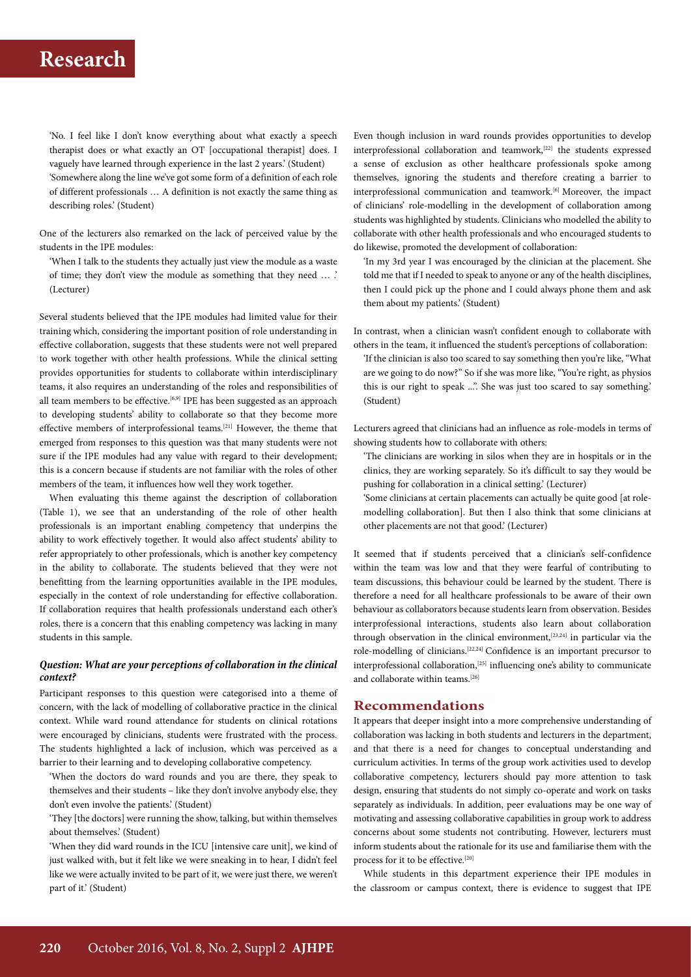'No. I feel like I don't know everything about what exactly a speech therapist does or what exactly an OT [occupational therapist] does. I vaguely have learned through experience in the last 2 years.' (Student) 'Somewhere along the line we've got some form of a definition of each role of different professionals … A definition is not exactly the same thing as describing roles.' (Student)

One of the lecturers also remarked on the lack of perceived value by the students in the IPE modules:

'When I talk to the students they actually just view the module as a waste of time; they don't view the module as something that they need … .' (Lecturer)

Several students believed that the IPE modules had limited value for their training which, considering the important position of role understanding in effective collaboration, suggests that these students were not well prepared to work together with other health professions. While the clinical setting provides opportunities for students to collaborate within interdisciplinary teams, it also requires an understanding of the roles and responsibilities of all team members to be effective.<sup>[6,9]</sup> IPE has been suggested as an approach to developing students' ability to collaborate so that they become more effective members of interprofessional teams.[21] However, the theme that emerged from responses to this question was that many students were not sure if the IPE modules had any value with regard to their development; this is a concern because if students are not familiar with the roles of other members of the team, it influences how well they work together.

When evaluating this theme against the description of collaboration (Table 1), we see that an understanding of the role of other health professionals is an important enabling competency that underpins the ability to work effectively together. It would also affect students' ability to refer appropriately to other professionals, which is another key competency in the ability to collaborate. The students believed that they were not benefitting from the learning opportunities available in the IPE modules, especially in the context of role understanding for effective collaboration. If collaboration requires that health professionals understand each other's roles, there is a concern that this enabling competency was lacking in many students in this sample.

### *Question: What are your perceptions of collaboration in the clinical context?*

Participant responses to this question were categorised into a theme of concern, with the lack of modelling of collaborative practice in the clinical context. While ward round attendance for students on clinical rotations were encouraged by clinicians, students were frustrated with the process. The students highlighted a lack of inclusion, which was perceived as a barrier to their learning and to developing collaborative competency.

'When the doctors do ward rounds and you are there, they speak to themselves and their students – like they don't involve anybody else, they don't even involve the patients.' (Student)

'They [the doctors] were running the show, talking, but within themselves about themselves.' (Student)

'When they did ward rounds in the ICU [intensive care unit], we kind of just walked with, but it felt like we were sneaking in to hear, I didn't feel like we were actually invited to be part of it, we were just there, we weren't part of it.' (Student)

Even though inclusion in ward rounds provides opportunities to develop interprofessional collaboration and teamwork,[22] the students expressed a sense of exclusion as other healthcare professionals spoke among themselves, ignoring the students and therefore creating a barrier to interprofessional communication and teamwork.[6] Moreover, the impact of clinicians' role-modelling in the development of collaboration among students was highlighted by students. Clinicians who modelled the ability to collaborate with other health professionals and who encouraged students to do likewise, promoted the development of collaboration:

'In my 3rd year I was encouraged by the clinician at the placement. She told me that if I needed to speak to anyone or any of the health disciplines, then I could pick up the phone and I could always phone them and ask them about my patients.' (Student)

In contrast, when a clinician wasn't confident enough to collaborate with others in the team, it influenced the student's perceptions of collaboration:

'If the clinician is also too scared to say something then you're like, "What are we going to do now?" So if she was more like, "You're right, as physios this is our right to speak ...". She was just too scared to say something.' (Student)

Lecturers agreed that clinicians had an influence as role-models in terms of showing students how to collaborate with others:

'The clinicians are working in silos when they are in hospitals or in the clinics, they are working separately. So it's difficult to say they would be pushing for collaboration in a clinical setting.' (Lecturer)

'Some clinicians at certain placements can actually be quite good [at rolemodelling collaboration]. But then I also think that some clinicians at other placements are not that good.' (Lecturer)

It seemed that if students perceived that a clinician's self-confidence within the team was low and that they were fearful of contributing to team discussions, this behaviour could be learned by the student. There is therefore a need for all healthcare professionals to be aware of their own behaviour as collaborators because students learn from observation. Besides interprofessional interactions, students also learn about collaboration through observation in the clinical environment,  $[23,24]$  in particular via the role-modelling of clinicians.[22,24] Confidence is an important precursor to interprofessional collaboration,[25] influencing one's ability to communicate and collaborate within teams.[26]

### **Recommendations**

It appears that deeper insight into a more comprehensive understanding of collaboration was lacking in both students and lecturers in the department, and that there is a need for changes to conceptual understanding and curriculum activities. In terms of the group work activities used to develop collaborative competency, lecturers should pay more attention to task design, ensuring that students do not simply co-operate and work on tasks separately as individuals. In addition, peer evaluations may be one way of motivating and assessing collaborative capabilities in group work to address concerns about some students not contributing. However, lecturers must inform students about the rationale for its use and familiarise them with the process for it to be effective.[20]

While students in this department experience their IPE modules in the classroom or campus context, there is evidence to suggest that IPE